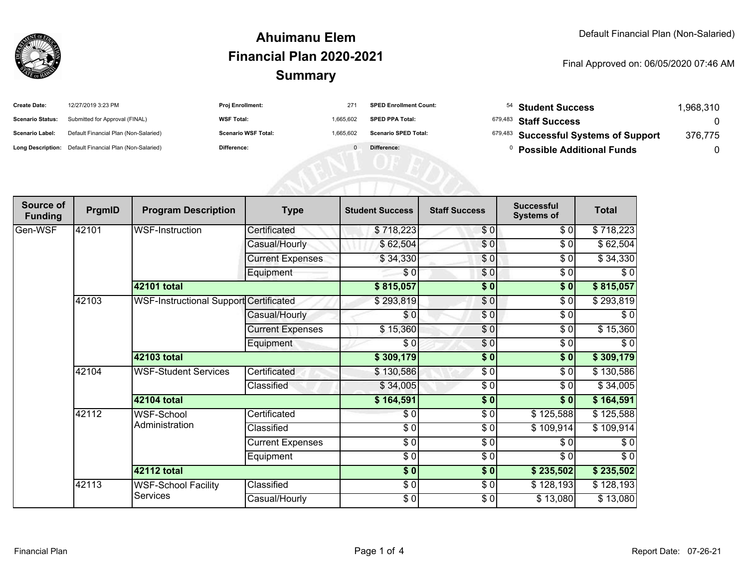

### **SummaryAhuimanu ElemFinancial Plan 2020-2021**

#### Final Approved on: 06/05/2020 07:46 AM

| <b>Create Date:</b>     | 12/27/2019 3:23 PM                                      | <b>Proj Enrollment:</b>    | 27'       | <b>SPED Enrollment Count:</b> | <sup>54</sup> Student Success         | .968.310 |
|-------------------------|---------------------------------------------------------|----------------------------|-----------|-------------------------------|---------------------------------------|----------|
| <b>Scenario Status:</b> | Submitted for Approval (FINAL)                          | <b>WSF Total:</b>          | 1.665.602 | <b>SPED PPA Total:</b>        | $^{679,483}$ Staff Success            |          |
| <b>Scenario Label:</b>  | Default Financial Plan (Non-Salaried)                   | <b>Scenario WSF Total:</b> | 1.665.602 | <b>Scenario SPED Total:</b>   | 679,483 Successful Systems of Support | 376,775  |
|                         | Long Description: Default Financial Plan (Non-Salaried) | Difference:                |           | Difference:                   | <b>Possible Additional Funds</b>      |          |

AFRICATED

| Source of<br><b>Funding</b> | PrgmID                                          | <b>Program Description</b>                    | <b>Type</b>             | <b>Student Success</b> | <b>Staff Success</b> | <b>Successful</b><br><b>Systems of</b> | <b>Total</b> |
|-----------------------------|-------------------------------------------------|-----------------------------------------------|-------------------------|------------------------|----------------------|----------------------------------------|--------------|
| Gen-WSF                     | 42101                                           | WSF-Instruction                               | Certificated            | \$718,223              | \$0                  | \$0                                    | \$718,223    |
|                             |                                                 |                                               | Casual/Hourly           | \$62,504               | \$0                  | \$0                                    | \$62,504     |
|                             |                                                 |                                               | <b>Current Expenses</b> | \$34,330               | $\frac{6}{3}$        | \$0                                    | \$34,330     |
|                             |                                                 |                                               | Equipment               | \$0                    | \$0                  | \$0                                    | \$0          |
|                             |                                                 | <b>42101 total</b>                            |                         | \$815,057              | \$0                  | \$0                                    | \$815,057    |
|                             | 42103                                           | <b>WSF-Instructional Support Certificated</b> |                         | \$293,819              | \$0                  | \$0                                    | \$293,819    |
|                             |                                                 |                                               | Casual/Hourly           | \$0                    | \$0                  | \$0                                    | \$0          |
|                             |                                                 |                                               | <b>Current Expenses</b> | \$15,360               | \$0                  | \$0                                    | \$15,360     |
|                             |                                                 |                                               | Equipment               | \$0                    | \$0                  | \$0                                    | \$0          |
|                             |                                                 | 42103 total                                   |                         | \$309,179              | $\frac{1}{2}$        | $\sqrt{6}$                             | \$309,179    |
|                             | 42104                                           | <b>WSF-Student Services</b>                   | Certificated            | \$130,586              | \$0                  | \$0                                    | \$130,586    |
|                             |                                                 |                                               | Classified              | \$34,005               | \$0                  | \$0                                    | \$34,005     |
|                             |                                                 | 42104 total                                   |                         | \$164,591              | \$0                  | \$0                                    | \$164,591    |
|                             | 42112                                           | WSF-School<br>Administration                  | Certificated            | \$0                    | \$0                  | \$125,588                              | \$125,588    |
|                             |                                                 |                                               | Classified              | $\frac{6}{6}$          | \$0                  | \$109,914]                             | \$109,914    |
|                             |                                                 |                                               | <b>Current Expenses</b> | $\frac{6}{6}$          | $\sqrt{6}$           | \$0                                    | \$0          |
|                             |                                                 |                                               | Equipment               | \$0                    | \$0                  | \$0                                    | \$0          |
|                             |                                                 | <b>42112 total</b>                            |                         | \$0]                   | \$0                  | \$235,502                              | \$235,502    |
|                             | 42113<br><b>WSF-School Facility</b><br>Services |                                               | Classified              | $\frac{6}{6}$          | \$0                  | \$128,193                              | \$128,193    |
|                             |                                                 |                                               | Casual/Hourly           | $\frac{6}{6}$          | \$0                  | \$13,080                               | \$13,080     |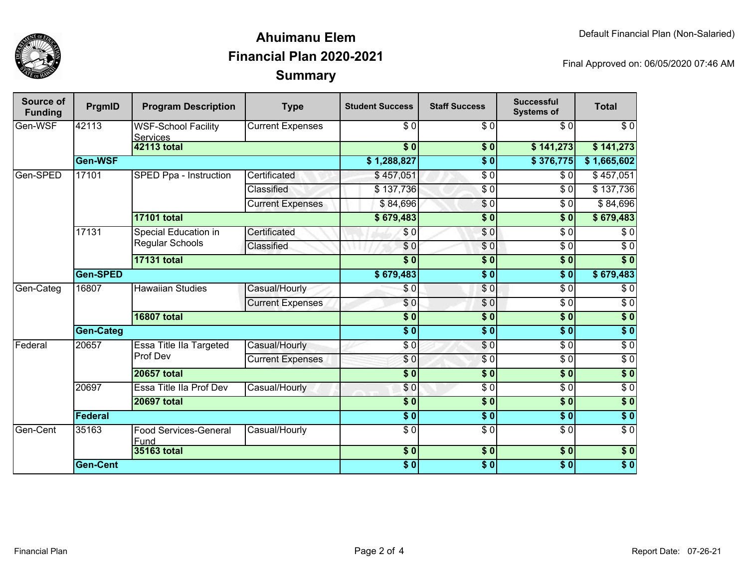

### **SummaryAhuimanu ElemFinancial Plan 2020-2021**

Final Approved on: 06/05/2020 07:46 AM

| Source of<br><b>Funding</b> | PrgmID             | <b>Program Description</b>                    | <b>Type</b>             | <b>Student Success</b>    | <b>Staff Success</b>   | <b>Successful</b><br><b>Systems of</b> | <b>Total</b>     |
|-----------------------------|--------------------|-----------------------------------------------|-------------------------|---------------------------|------------------------|----------------------------------------|------------------|
| Gen-WSF                     | 42113              | <b>WSF-School Facility</b><br><b>Services</b> | <b>Current Expenses</b> | \$0                       | \$0                    | \$0                                    | $\overline{\$0}$ |
|                             | <b>42113 total</b> |                                               |                         | $\overline{\bullet}$ 0    | \$0                    | \$141,273                              | \$141,273        |
|                             | Gen-WSF            |                                               |                         | \$1,288,827               | $\overline{\bullet}$ 0 | \$376,775                              | \$1,665,602      |
| Gen-SPED                    | 17101              | SPED Ppa - Instruction                        | Certificated            | \$457,051                 | $\sqrt{6}$             | \$0                                    | \$457,051        |
|                             |                    |                                               | <b>Classified</b>       | \$137,736                 | $\overline{\$0}$       | $\overline{\$0}$                       | \$137,736        |
|                             |                    |                                               | <b>Current Expenses</b> | \$84,696                  | \$0                    | \$0                                    | \$84,696         |
|                             |                    | <b>17101 total</b>                            |                         | \$679,483                 | $\overline{\$0}$       | \$0                                    | \$679,483        |
|                             | 17131              | Special Education in<br>Regular Schools       | Certificated            | \$0                       | \$0                    | $\overline{\$0}$                       | \$0              |
|                             |                    |                                               | Classified              | $\overline{\$0}$          | $\sqrt{6}$             | $\overline{\$0}$                       | $\overline{\$0}$ |
|                             |                    | <b>17131 total</b>                            |                         | $\overline{\bullet}$      | $\overline{\$0}$       | $\overline{\textbf{S}^0}$              | $\overline{\$0}$ |
|                             | Gen-SPED           |                                               |                         | \$679,483                 | $\overline{\$0}$       | $\overline{\$0}$                       | \$679,483        |
| Gen-Categ                   | 16807              | <b>Hawaiian Studies</b>                       | Casual/Hourly           | \$0                       | \$0                    | $\overline{\$0}$                       | $\overline{\$0}$ |
|                             |                    |                                               | <b>Current Expenses</b> | \$0                       | $\overline{\$0}$       | $\overline{\$0}$                       | $\overline{\$0}$ |
|                             |                    | <b>16807 total</b>                            |                         | \$0                       | $\overline{\$0}$       | s <sub>0</sub>                         | $\sqrt{6}$       |
|                             | <b>Gen-Categ</b>   |                                               |                         | $\overline{\bullet}$ 0    | $\overline{\$0}$       | $\overline{\$0}$                       | $\sqrt{6}$       |
| Federal                     | 20657              | <b>Essa Title Ila Targeted</b><br>Prof Dev    | Casual/Hourly           | $\overline{\$0}$          | $\overline{\$0}$       | $\overline{\$0}$                       | $\sqrt{6}$       |
|                             |                    |                                               | <b>Current Expenses</b> | $\frac{6}{3}$             | $\overline{\$0}$       | $\overline{\$0}$                       | $\sqrt{6}$       |
|                             |                    | <b>20657 total</b>                            |                         | $\overline{\phantom{a}}$  | $\overline{\$0}$       | $\overline{\$0}$                       | $\sqrt{6}$       |
|                             | 20697              | Essa Title IIa Prof Dev                       | Casual/Hourly           | $\frac{6}{6}$             | $\overline{\$0}$       | $\overline{\$0}$                       | $\overline{30}$  |
|                             | <b>20697 total</b> |                                               | \$0                     | $\overline{\$0}$          | $\overline{\$0}$       | $\sqrt{6}$                             |                  |
|                             | Federal            |                                               |                         | $\overline{\phantom{0}5}$ | $\overline{\bullet}$ 0 | $\overline{\$0}$                       | $\sqrt{6}$       |
| Gen-Cent                    | 35163              | <b>Food Services-General</b><br>Fund          | Casual/Hourly           | $\overline{\$0}$          | $\overline{\$0}$       | $\overline{\$0}$                       | $\overline{\$0}$ |
|                             |                    | 35163 total                                   |                         | $\frac{1}{6}$             | $\overline{\$0}$       | $\overline{\$0}$                       | \$0              |
|                             | <b>Gen-Cent</b>    |                                               |                         | \$0                       | $\overline{\bullet}$   | $\overline{\$0}$                       | $\overline{\$}0$ |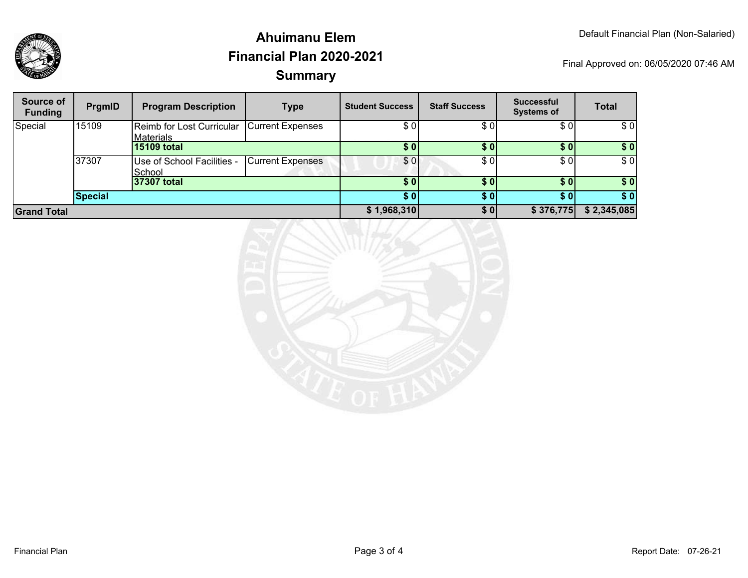

## **SummaryAhuimanu ElemFinancial Plan 2020-2021**

Final Approved on: 06/05/2020 07:46 AM

| Source of<br><b>Funding</b> | PrgmID  | <b>Program Description</b>                              | <b>Type</b>             | <b>Student Success</b> | <b>Staff Success</b> | <b>Successful</b><br><b>Systems of</b> | <b>Total</b> |
|-----------------------------|---------|---------------------------------------------------------|-------------------------|------------------------|----------------------|----------------------------------------|--------------|
| Special                     | 15109   | Reimb for Lost Curricular Current Expenses<br>Materials |                         | \$0                    | \$0                  | \$0                                    | \$0          |
|                             |         | 15109 total                                             |                         | \$0                    | \$0                  | \$01                                   | \$0          |
|                             | 37307   | Use of School Facilities -<br>School                    | <b>Current Expenses</b> | \$0                    | \$0                  | \$01                                   | \$0          |
|                             |         | 37307 total                                             |                         | \$0                    | \$0                  | \$0 <sub>1</sub>                       | \$0          |
|                             | Special |                                                         |                         | \$0                    | <b>SO</b>            | \$ OI                                  | \$0          |
| <b>Grand Total</b>          |         |                                                         |                         | \$1,968,310            | \$0                  | \$376,775                              | \$2,345,085  |